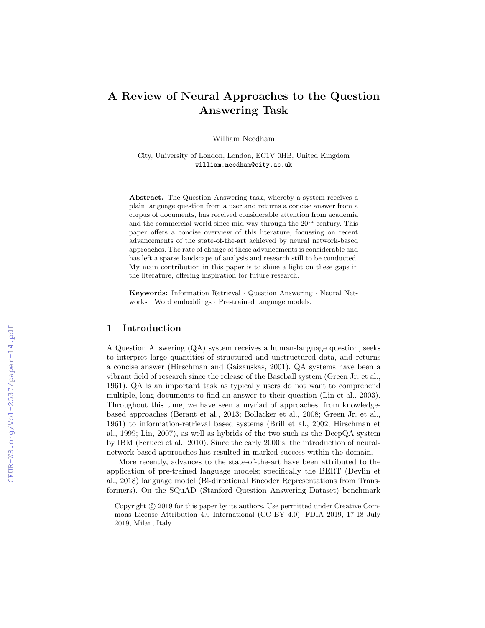William Needham

City, University of London, London, EC1V 0HB, United Kingdom william.needham@city.ac.uk

Abstract. The Question Answering task, whereby a system receives a plain language question from a user and returns a concise answer from a corpus of documents, has received considerable attention from academia and the commercial world since mid-way through the  $20<sup>th</sup>$  century. This paper offers a concise overview of this literature, focussing on recent advancements of the state-of-the-art achieved by neural network-based approaches. The rate of change of these advancements is considerable and has left a sparse landscape of analysis and research still to be conducted. My main contribution in this paper is to shine a light on these gaps in the literature, offering inspiration for future research.

Keywords: Information Retrieval · Question Answering · Neural Networks · Word embeddings · Pre-trained language models.

## 1 Introduction

A Question Answering (QA) system receives a human-language question, seeks to interpret large quantities of structured and unstructured data, and returns a concise answer (Hirschman and Gaizauskas, 2001). QA systems have been a vibrant field of research since the release of the Baseball system (Green Jr. et al., 1961). QA is an important task as typically users do not want to comprehend multiple, long documents to find an answer to their question (Lin et al., 2003). Throughout this time, we have seen a myriad of approaches, from knowledgebased approaches (Berant et al., 2013; Bollacker et al., 2008; Green Jr. et al., 1961) to information-retrieval based systems (Brill et al., 2002; Hirschman et al., 1999; Lin, 2007), as well as hybrids of the two such as the DeepQA system by IBM (Ferucci et al., 2010). Since the early 2000's, the introduction of neuralnetwork-based approaches has resulted in marked success within the domain.

More recently, advances to the state-of-the-art have been attributed to the application of pre-trained language models; specifically the BERT (Devlin et al., 2018) language model (Bi-directional Encoder Representations from Transformers). On the SQuAD (Stanford Question Answering Dataset) benchmark

Copyright  $\odot$  2019 for this paper by its authors. Use permitted under Creative Commons License Attribution 4.0 International (CC BY 4.0). FDIA 2019, 17-18 July 2019, Milan, Italy.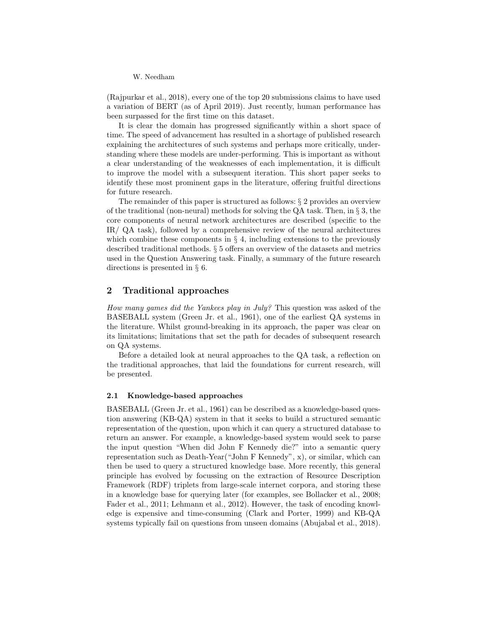(Rajpurkar et al., 2018), every one of the top 20 submissions claims to have used a variation of BERT (as of April 2019). Just recently, human performance has been surpassed for the first time on this dataset.

It is clear the domain has progressed significantly within a short space of time. The speed of advancement has resulted in a shortage of published research explaining the architectures of such systems and perhaps more critically, understanding where these models are under-performing. This is important as without a clear understanding of the weaknesses of each implementation, it is difficult to improve the model with a subsequent iteration. This short paper seeks to identify these most prominent gaps in the literature, offering fruitful directions for future research.

The remainder of this paper is structured as follows: § 2 provides an overview of the traditional (non-neural) methods for solving the QA task. Then, in  $\S 3$ , the core components of neural network architectures are described (specific to the IR/ QA task), followed by a comprehensive review of the neural architectures which combine these components in  $\S$  4, including extensions to the previously described traditional methods. § 5 offers an overview of the datasets and metrics used in the Question Answering task. Finally, a summary of the future research directions is presented in § 6.

# 2 Traditional approaches

How many games did the Yankees play in July? This question was asked of the BASEBALL system (Green Jr. et al., 1961), one of the earliest QA systems in the literature. Whilst ground-breaking in its approach, the paper was clear on its limitations; limitations that set the path for decades of subsequent research on QA systems.

Before a detailed look at neural approaches to the QA task, a reflection on the traditional approaches, that laid the foundations for current research, will be presented.

## 2.1 Knowledge-based approaches

BASEBALL (Green Jr. et al., 1961) can be described as a knowledge-based question answering (KB-QA) system in that it seeks to build a structured semantic representation of the question, upon which it can query a structured database to return an answer. For example, a knowledge-based system would seek to parse the input question "When did John F Kennedy die?" into a semantic query representation such as Death-Year("John F Kennedy", x), or similar, which can then be used to query a structured knowledge base. More recently, this general principle has evolved by focussing on the extraction of Resource Description Framework (RDF) triplets from large-scale internet corpora, and storing these in a knowledge base for querying later (for examples, see Bollacker et al., 2008; Fader et al., 2011; Lehmann et al., 2012). However, the task of encoding knowledge is expensive and time-consuming (Clark and Porter, 1999) and KB-QA systems typically fail on questions from unseen domains (Abujabal et al., 2018).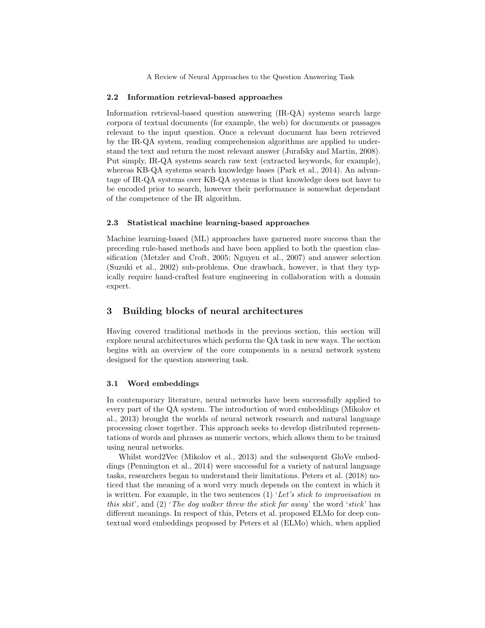#### 2.2 Information retrieval-based approaches

Information retrieval-based question answering (IR-QA) systems search large corpora of textual documents (for example, the web) for documents or passages relevant to the input question. Once a relevant document has been retrieved by the IR-QA system, reading comprehension algorithms are applied to understand the text and return the most relevant answer (Jurafsky and Martin, 2008). Put simply, IR-QA systems search raw text (extracted keywords, for example), whereas KB-QA systems search knowledge bases (Park et al., 2014). An advantage of IR-QA systems over KB-QA systems is that knowledge does not have to be encoded prior to search, however their performance is somewhat dependant of the competence of the IR algorithm.

## 2.3 Statistical machine learning-based approaches

Machine learning-based (ML) approaches have garnered more success than the preceding rule-based methods and have been applied to both the question classification (Metzler and Croft, 2005; Nguyen et al., 2007) and answer selection (Suzuki et al., 2002) sub-problems. One drawback, however, is that they typically require hand-crafted feature engineering in collaboration with a domain expert.

# 3 Building blocks of neural architectures

Having covered traditional methods in the previous section, this section will explore neural architectures which perform the QA task in new ways. The section begins with an overview of the core components in a neural network system designed for the question answering task.

## 3.1 Word embeddings

In contemporary literature, neural networks have been successfully applied to every part of the QA system. The introduction of word embeddings (Mikolov et al., 2013) brought the worlds of neural network research and natural language processing closer together. This approach seeks to develop distributed representations of words and phrases as numeric vectors, which allows them to be trained using neural networks.

Whilst word2Vec (Mikolov et al., 2013) and the subsequent GloVe embeddings (Pennington et al., 2014) were successful for a variety of natural language tasks, researchers began to understand their limitations. Peters et al. (2018) noticed that the meaning of a word very much depends on the context in which it is written. For example, in the two sentences  $(1)$  'Let's stick to improvisation in this skit', and  $(2)$  'The dog walker threw the stick far away' the word 'stick' has different meanings. In respect of this, Peters et al. proposed ELMo for deep contextual word embeddings proposed by Peters et al (ELMo) which, when applied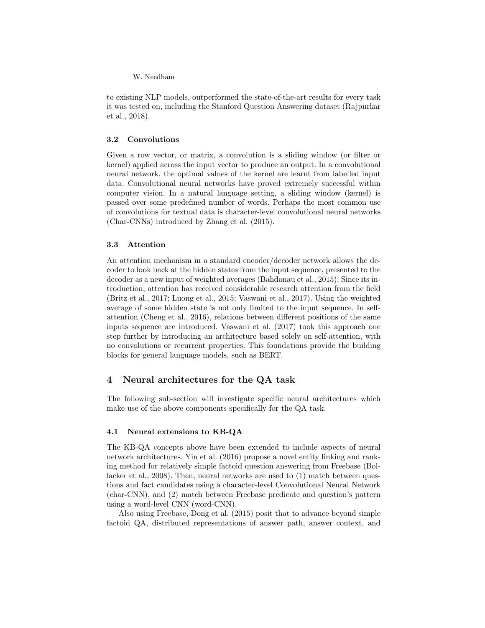to existing NLP models, outperformed the state-of-the-art results for every task it was tested on, including the Stanford Question Answering dataset (Rajpurkar et al., 2018).

### 3.2 Convolutions

Given a row vector, or matrix, a convolution is a sliding window (or filter or kernel) applied across the input vector to produce an output. In a convolutional neural network, the optimal values of the kernel are learnt from labelled input data. Convolutional neural networks have proved extremely successful within computer vision. In a natural language setting, a sliding window (kernel) is passed over some predefined number of words. Perhaps the most common use of convolutions for textual data is character-level convolutional neural networks (Char-CNNs) introduced by Zhang et al. (2015).

## 3.3 Attention

An attention mechanism in a standard encoder/decoder network allows the decoder to look back at the hidden states from the input sequence, presented to the decoder as a new input of weighted averages (Bahdanau et al., 2015). Since its introduction, attention has received considerable research attention from the field (Britz et al., 2017; Luong et al., 2015; Vaswani et al., 2017). Using the weighted average of some hidden state is not only limited to the input sequence. In selfattention (Cheng et al., 2016), relations between different positions of the same inputs sequence are introduced. Vaswani et al. (2017) took this approach one step further by introducing an architecture based solely on self-attention, with no convolutions or recurrent properties. This foundations provide the building blocks for general language models, such as BERT.

## 4 Neural architectures for the QA task

The following sub-section will investigate specific neural architectures which make use of the above components specifically for the QA task.

## 4.1 Neural extensions to KB-QA

The KB-QA concepts above have been extended to include aspects of neural network architectures. Yin et al. (2016) propose a novel entity linking and ranking method for relatively simple factoid question answering from Freebase (Bollacker et al., 2008). Then, neural networks are used to (1) match between questions and fact candidates using a character-level Convolutional Neural Network (char-CNN), and (2) match between Freebase predicate and question's pattern using a word-level CNN (word-CNN).

Also using Freebase, Dong et al. (2015) posit that to advance beyond simple factoid QA, distributed representations of answer path, answer context, and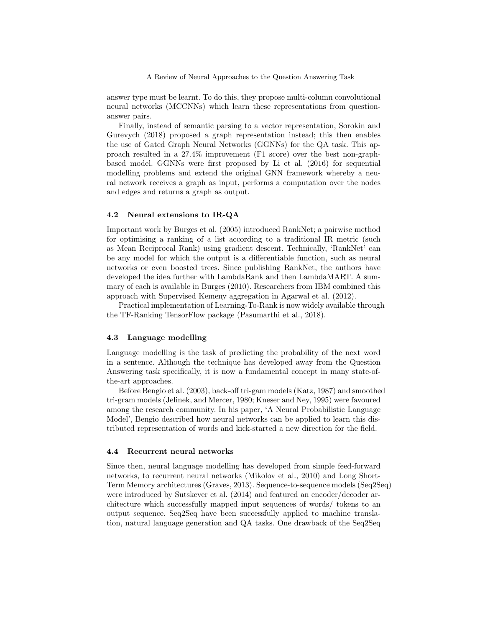answer type must be learnt. To do this, they propose multi-column convolutional neural networks (MCCNNs) which learn these representations from questionanswer pairs.

Finally, instead of semantic parsing to a vector representation, Sorokin and Gurevych (2018) proposed a graph representation instead; this then enables the use of Gated Graph Neural Networks (GGNNs) for the QA task. This approach resulted in a 27.4% improvement (F1 score) over the best non-graphbased model. GGNNs were first proposed by Li et al. (2016) for sequential modelling problems and extend the original GNN framework whereby a neural network receives a graph as input, performs a computation over the nodes and edges and returns a graph as output.

### 4.2 Neural extensions to IR-QA

Important work by Burges et al. (2005) introduced RankNet; a pairwise method for optimising a ranking of a list according to a traditional IR metric (such as Mean Reciprocal Rank) using gradient descent. Technically, 'RankNet' can be any model for which the output is a differentiable function, such as neural networks or even boosted trees. Since publishing RankNet, the authors have developed the idea further with LambdaRank and then LambdaMART. A summary of each is available in Burges (2010). Researchers from IBM combined this approach with Supervised Kemeny aggregation in Agarwal et al. (2012).

Practical implementation of Learning-To-Rank is now widely available through the TF-Ranking TensorFlow package (Pasumarthi et al., 2018).

### 4.3 Language modelling

Language modelling is the task of predicting the probability of the next word in a sentence. Although the technique has developed away from the Question Answering task specifically, it is now a fundamental concept in many state-ofthe-art approaches.

Before Bengio et al. (2003), back-off tri-gam models (Katz, 1987) and smoothed tri-gram models (Jelinek, and Mercer, 1980; Kneser and Ney, 1995) were favoured among the research community. In his paper, 'A Neural Probabilistic Language Model', Bengio described how neural networks can be applied to learn this distributed representation of words and kick-started a new direction for the field.

#### 4.4 Recurrent neural networks

Since then, neural language modelling has developed from simple feed-forward networks, to recurrent neural networks (Mikolov et al., 2010) and Long Short-Term Memory architectures (Graves, 2013). Sequence-to-sequence models (Seq2Seq) were introduced by Sutskever et al. (2014) and featured an encoder/decoder architecture which successfully mapped input sequences of words/ tokens to an output sequence. Seq2Seq have been successfully applied to machine translation, natural language generation and QA tasks. One drawback of the Seq2Seq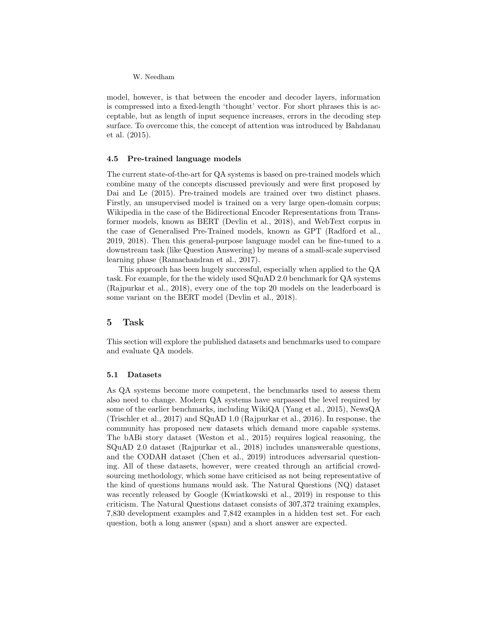model, however, is that between the encoder and decoder layers, information is compressed into a fixed-length 'thought' vector. For short phrases this is acceptable, but as length of input sequence increases, errors in the decoding step surface. To overcome this, the concept of attention was introduced by Bahdanau et al. (2015).

#### 4.5 Pre-trained language models

The current state-of-the-art for QA systems is based on pre-trained models which combine many of the concepts discussed previously and were first proposed by Dai and Le (2015). Pre-trained models are trained over two distinct phases. Firstly, an unsupervised model is trained on a very large open-domain corpus; Wikipedia in the case of the Bidirectional Encoder Representations from Transformer models, known as BERT (Devlin et al., 2018), and WebText corpus in the case of Generalised Pre-Trained models, known as GPT (Radford et al., 2019, 2018). Then this general-purpose language model can be fine-tuned to a downstream task (like Question Answering) by means of a small-scale supervised learning phase (Ramachandran et al., 2017).

This approach has been hugely successful, especially when applied to the QA task. For example, for the the widely used SQuAD 2.0 benchmark for QA systems (Rajpurkar et al., 2018), every one of the top 20 models on the leaderboard is some variant on the BERT model (Devlin et al., 2018).

# 5 Task

This section will explore the published datasets and benchmarks used to compare and evaluate QA models.

### 5.1 Datasets

As QA systems become more competent, the benchmarks used to assess them also need to change. Modern QA systems have surpassed the level required by some of the earlier benchmarks, including WikiQA (Yang et al., 2015), NewsQA (Trischler et al., 2017) and SQuAD 1.0 (Rajpurkar et al., 2016). In response, the community has proposed new datasets which demand more capable systems. The bABi story dataset (Weston et al., 2015) requires logical reasoning, the SQuAD 2.0 dataset (Rajpurkar et al., 2018) includes unanswerable questions, and the CODAH dataset (Chen et al., 2019) introduces adversarial questioning. All of these datasets, however, were created through an artificial crowdsourcing methodology, which some have criticised as not being representative of the kind of questions humans would ask. The Natural Questions (NQ) dataset was recently released by Google (Kwiatkowski et al., 2019) in response to this criticism. The Natural Questions dataset consists of 307,372 training examples, 7,830 development examples and 7,842 examples in a hidden test set. For each question, both a long answer (span) and a short answer are expected.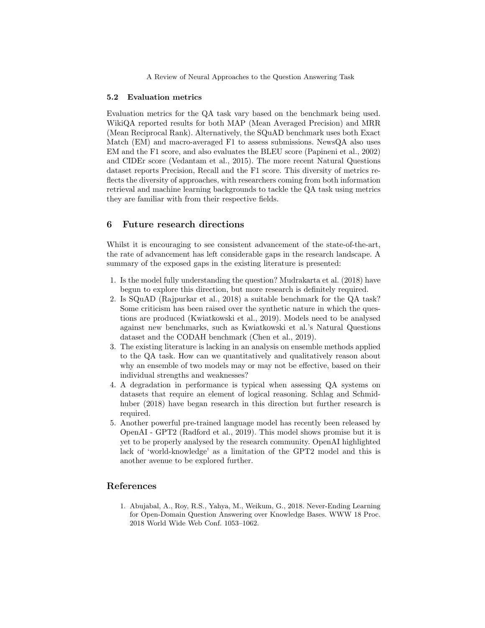### 5.2 Evaluation metrics

Evaluation metrics for the QA task vary based on the benchmark being used. WikiQA reported results for both MAP (Mean Averaged Precision) and MRR (Mean Reciprocal Rank). Alternatively, the SQuAD benchmark uses both Exact Match (EM) and macro-averaged F1 to assess submissions. NewsQA also uses EM and the F1 score, and also evaluates the BLEU score (Papineni et al., 2002) and CIDEr score (Vedantam et al., 2015). The more recent Natural Questions dataset reports Precision, Recall and the F1 score. This diversity of metrics reflects the diversity of approaches, with researchers coming from both information retrieval and machine learning backgrounds to tackle the QA task using metrics they are familiar with from their respective fields.

# 6 Future research directions

Whilst it is encouraging to see consistent advancement of the state-of-the-art, the rate of advancement has left considerable gaps in the research landscape. A summary of the exposed gaps in the existing literature is presented:

- 1. Is the model fully understanding the question? Mudrakarta et al. (2018) have begun to explore this direction, but more research is definitely required.
- 2. Is SQuAD (Rajpurkar et al., 2018) a suitable benchmark for the QA task? Some criticism has been raised over the synthetic nature in which the questions are produced (Kwiatkowski et al., 2019). Models need to be analysed against new benchmarks, such as Kwiatkowski et al.'s Natural Questions dataset and the CODAH benchmark (Chen et al., 2019).
- 3. The existing literature is lacking in an analysis on ensemble methods applied to the QA task. How can we quantitatively and qualitatively reason about why an ensemble of two models may or may not be effective, based on their individual strengths and weaknesses?
- 4. A degradation in performance is typical when assessing QA systems on datasets that require an element of logical reasoning. Schlag and Schmidhuber (2018) have began research in this direction but further research is required.
- 5. Another powerful pre-trained language model has recently been released by OpenAI - GPT2 (Radford et al., 2019). This model shows promise but it is yet to be properly analysed by the research community. OpenAI highlighted lack of 'world-knowledge' as a limitation of the GPT2 model and this is another avenue to be explored further.

# References

1. Abujabal, A., Roy, R.S., Yahya, M., Weikum, G., 2018. Never-Ending Learning for Open-Domain Question Answering over Knowledge Bases. WWW 18 Proc. 2018 World Wide Web Conf. 1053–1062.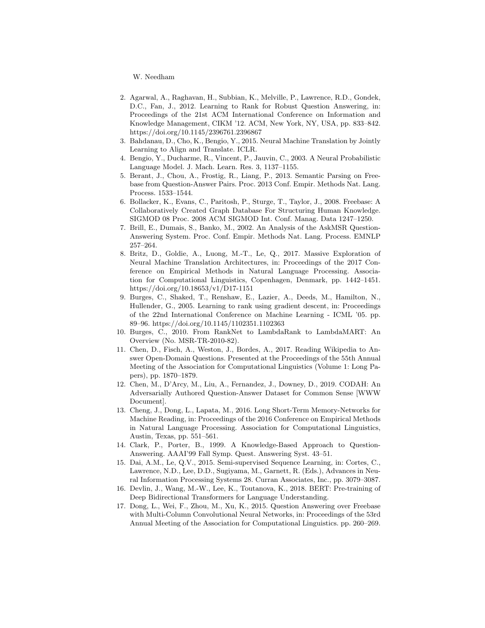- 2. Agarwal, A., Raghavan, H., Subbian, K., Melville, P., Lawrence, R.D., Gondek, D.C., Fan, J., 2012. Learning to Rank for Robust Question Answering, in: Proceedings of the 21st ACM International Conference on Information and Knowledge Management, CIKM '12. ACM, New York, NY, USA, pp. 833–842. https://doi.org/10.1145/2396761.2396867
- 3. Bahdanau, D., Cho, K., Bengio, Y., 2015. Neural Machine Translation by Jointly Learning to Align and Translate. ICLR.
- 4. Bengio, Y., Ducharme, R., Vincent, P., Jauvin, C., 2003. A Neural Probabilistic Language Model. J. Mach. Learn. Res. 3, 1137–1155.
- 5. Berant, J., Chou, A., Frostig, R., Liang, P., 2013. Semantic Parsing on Freebase from Question-Answer Pairs. Proc. 2013 Conf. Empir. Methods Nat. Lang. Process. 1533–1544.
- 6. Bollacker, K., Evans, C., Paritosh, P., Sturge, T., Taylor, J., 2008. Freebase: A Collaboratively Created Graph Database For Structuring Human Knowledge. SIGMOD 08 Proc. 2008 ACM SIGMOD Int. Conf. Manag. Data 1247–1250.
- 7. Brill, E., Dumais, S., Banko, M., 2002. An Analysis of the AskMSR Question-Answering System. Proc. Conf. Empir. Methods Nat. Lang. Process. EMNLP 257–264.
- 8. Britz, D., Goldie, A., Luong, M.-T., Le, Q., 2017. Massive Exploration of Neural Machine Translation Architectures, in: Proceedings of the 2017 Conference on Empirical Methods in Natural Language Processing. Association for Computational Linguistics, Copenhagen, Denmark, pp. 1442–1451. https://doi.org/10.18653/v1/D17-1151
- 9. Burges, C., Shaked, T., Renshaw, E., Lazier, A., Deeds, M., Hamilton, N., Hullender, G., 2005. Learning to rank using gradient descent, in: Proceedings of the 22nd International Conference on Machine Learning - ICML '05. pp. 89–96. https://doi.org/10.1145/1102351.1102363
- 10. Burges, C., 2010. From RankNet to LambdaRank to LambdaMART: An Overview (No. MSR-TR-2010-82).
- 11. Chen, D., Fisch, A., Weston, J., Bordes, A., 2017. Reading Wikipedia to Answer Open-Domain Questions. Presented at the Proceedings of the 55th Annual Meeting of the Association for Computational Linguistics (Volume 1: Long Papers), pp. 1870–1879.
- 12. Chen, M., D'Arcy, M., Liu, A., Fernandez, J., Downey, D., 2019. CODAH: An Adversarially Authored Question-Answer Dataset for Common Sense [WWW Document].
- 13. Cheng, J., Dong, L., Lapata, M., 2016. Long Short-Term Memory-Networks for Machine Reading, in: Proceedings of the 2016 Conference on Empirical Methods in Natural Language Processing. Association for Computational Linguistics, Austin, Texas, pp. 551–561.
- 14. Clark, P., Porter, B., 1999. A Knowledge-Based Approach to Question-Answering. AAAI'99 Fall Symp. Quest. Answering Syst. 43–51.
- 15. Dai, A.M., Le, Q.V., 2015. Semi-supervised Sequence Learning, in: Cortes, C., Lawrence, N.D., Lee, D.D., Sugiyama, M., Garnett, R. (Eds.), Advances in Neural Information Processing Systems 28. Curran Associates, Inc., pp. 3079–3087.
- 16. Devlin, J., Wang, M.-W., Lee, K., Toutanova, K., 2018. BERT: Pre-training of Deep Bidirectional Transformers for Language Understanding.
- 17. Dong, L., Wei, F., Zhou, M., Xu, K., 2015. Question Answering over Freebase with Multi-Column Convolutional Neural Networks, in: Proceedings of the 53rd Annual Meeting of the Association for Computational Linguistics. pp. 260–269.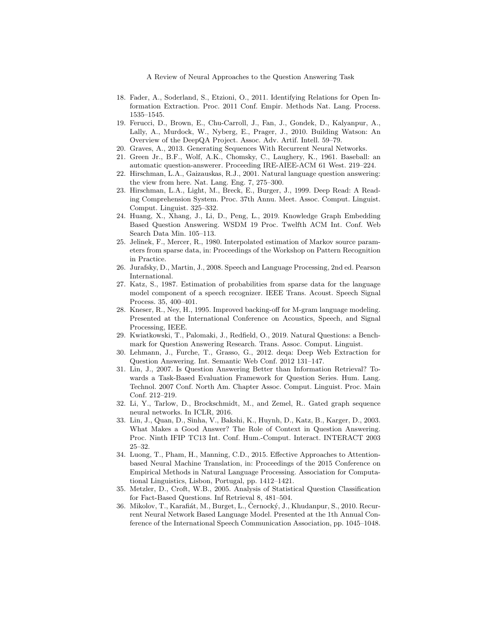- 18. Fader, A., Soderland, S., Etzioni, O., 2011. Identifying Relations for Open Information Extraction. Proc. 2011 Conf. Empir. Methods Nat. Lang. Process. 1535–1545.
- 19. Ferucci, D., Brown, E., Chu-Carroll, J., Fan, J., Gondek, D., Kalyanpur, A., Lally, A., Murdock, W., Nyberg, E., Prager, J., 2010. Building Watson: An Overview of the DeepQA Project. Assoc. Adv. Artif. Intell. 59–79.
- 20. Graves, A., 2013. Generating Sequences With Recurrent Neural Networks.
- 21. Green Jr., B.F., Wolf, A.K., Chomsky, C., Laughery, K., 1961. Baseball: an automatic question-answerer. Proceeding IRE-AIEE-ACM 61 West. 219–224.
- 22. Hirschman, L.A., Gaizauskas, R.J., 2001. Natural language question answering: the view from here. Nat. Lang. Eng. 7, 275–300.
- 23. Hirschman, L.A., Light, M., Breck, E., Burger, J., 1999. Deep Read: A Reading Comprehension System. Proc. 37th Annu. Meet. Assoc. Comput. Linguist. Comput. Linguist. 325–332.
- 24. Huang, X., Xhang, J., Li, D., Peng, L., 2019. Knowledge Graph Embedding Based Question Answering. WSDM 19 Proc. Twelfth ACM Int. Conf. Web Search Data Min. 105–113.
- 25. Jelinek, F., Mercer, R., 1980. Interpolated estimation of Markov source parameters from sparse data, in: Proceedings of the Workshop on Pattern Recognition in Practice.
- 26. Jurafsky, D., Martin, J., 2008. Speech and Language Processing, 2nd ed. Pearson International.
- 27. Katz, S., 1987. Estimation of probabilities from sparse data for the language model component of a speech recognizer. IEEE Trans. Acoust. Speech Signal Process. 35, 400–401.
- 28. Kneser, R., Ney, H., 1995. Improved backing-off for M-gram language modeling. Presented at the International Conference on Acoustics, Speech, and Signal Processing, IEEE.
- 29. Kwiatkowski, T., Palomaki, J., Redfield, O., 2019. Natural Questions: a Benchmark for Question Answering Research. Trans. Assoc. Comput. Linguist.
- 30. Lehmann, J., Furche, T., Grasso, G., 2012. deqa: Deep Web Extraction for Question Answering. Int. Semantic Web Conf. 2012 131–147.
- 31. Lin, J., 2007. Is Question Answering Better than Information Retrieval? Towards a Task-Based Evaluation Framework for Question Series. Hum. Lang. Technol. 2007 Conf. North Am. Chapter Assoc. Comput. Linguist. Proc. Main Conf. 212–219.
- 32. Li, Y., Tarlow, D., Brockschmidt, M., and Zemel, R.. Gated graph sequence neural networks. In ICLR, 2016.
- 33. Lin, J., Quan, D., Sinha, V., Bakshi, K., Huynh, D., Katz, B., Karger, D., 2003. What Makes a Good Answer? The Role of Context in Question Answering. Proc. Ninth IFIP TC13 Int. Conf. Hum.-Comput. Interact. INTERACT 2003 25–32.
- 34. Luong, T., Pham, H., Manning, C.D., 2015. Effective Approaches to Attentionbased Neural Machine Translation, in: Proceedings of the 2015 Conference on Empirical Methods in Natural Language Processing. Association for Computational Linguistics, Lisbon, Portugal, pp. 1412–1421.
- 35. Metzler, D., Croft, W.B., 2005. Analysis of Statistical Question Classification for Fact-Based Questions. Inf Retrieval 8, 481–504.
- 36. Mikolov, T., Karafiát, M., Burget, L., Cernocký, J., Khudanpur, S., 2010. Recurrent Neural Network Based Language Model. Presented at the 1th Annual Conference of the International Speech Communication Association, pp. 1045–1048.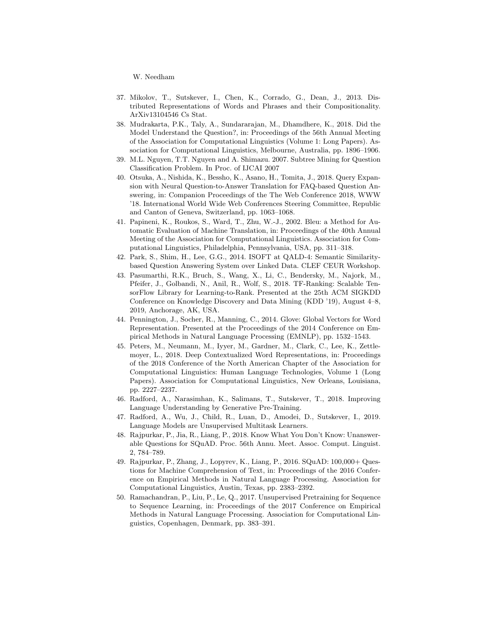- 37. Mikolov, T., Sutskever, I., Chen, K., Corrado, G., Dean, J., 2013. Distributed Representations of Words and Phrases and their Compositionality. ArXiv13104546 Cs Stat.
- 38. Mudrakarta, P.K., Taly, A., Sundararajan, M., Dhamdhere, K., 2018. Did the Model Understand the Question?, in: Proceedings of the 56th Annual Meeting of the Association for Computational Linguistics (Volume 1: Long Papers). Association for Computational Linguistics, Melbourne, Australia, pp. 1896–1906.
- 39. M.L. Nguyen, T.T. Nguyen and A. Shimazu. 2007. Subtree Mining for Question Classification Problem. In Proc. of IJCAI 2007
- 40. Otsuka, A., Nishida, K., Bessho, K., Asano, H., Tomita, J., 2018. Query Expansion with Neural Question-to-Answer Translation for FAQ-based Question Answering, in: Companion Proceedings of the The Web Conference 2018, WWW '18. International World Wide Web Conferences Steering Committee, Republic and Canton of Geneva, Switzerland, pp. 1063–1068.
- 41. Papineni, K., Roukos, S., Ward, T., Zhu, W.-J., 2002. Bleu: a Method for Automatic Evaluation of Machine Translation, in: Proceedings of the 40th Annual Meeting of the Association for Computational Linguistics. Association for Computational Linguistics, Philadelphia, Pennsylvania, USA, pp. 311–318.
- 42. Park, S., Shim, H., Lee, G.G., 2014. ISOFT at QALD-4: Semantic Similaritybased Question Answering System over Linked Data. CLEF CEUR Workshop.
- 43. Pasumarthi, R.K., Bruch, S., Wang, X., Li, C., Bendersky, M., Najork, M., Pfeifer, J., Golbandi, N., Anil, R., Wolf, S., 2018. TF-Ranking: Scalable TensorFlow Library for Learning-to-Rank. Presented at the 25th ACM SIGKDD Conference on Knowledge Discovery and Data Mining (KDD '19), August 4–8, 2019, Anchorage, AK, USA.
- 44. Pennington, J., Socher, R., Manning, C., 2014. Glove: Global Vectors for Word Representation. Presented at the Proceedings of the 2014 Conference on Empirical Methods in Natural Language Processing (EMNLP), pp. 1532–1543.
- 45. Peters, M., Neumann, M., Iyyer, M., Gardner, M., Clark, C., Lee, K., Zettlemoyer, L., 2018. Deep Contextualized Word Representations, in: Proceedings of the 2018 Conference of the North American Chapter of the Association for Computational Linguistics: Human Language Technologies, Volume 1 (Long Papers). Association for Computational Linguistics, New Orleans, Louisiana, pp. 2227–2237.
- 46. Radford, A., Narasimhan, K., Salimans, T., Sutskever, T., 2018. Improving Language Understanding by Generative Pre-Training.
- 47. Radford, A., Wu, J., Child, R., Luan, D., Amodei, D., Sutskever, I., 2019. Language Models are Unsupervised Multitask Learners.
- 48. Rajpurkar, P., Jia, R., Liang, P., 2018. Know What You Don't Know: Unanswerable Questions for SQuAD. Proc. 56th Annu. Meet. Assoc. Comput. Linguist. 2, 784–789.
- 49. Rajpurkar, P., Zhang, J., Lopyrev, K., Liang, P., 2016. SQuAD: 100,000+ Questions for Machine Comprehension of Text, in: Proceedings of the 2016 Conference on Empirical Methods in Natural Language Processing. Association for Computational Linguistics, Austin, Texas, pp. 2383–2392.
- 50. Ramachandran, P., Liu, P., Le, Q., 2017. Unsupervised Pretraining for Sequence to Sequence Learning, in: Proceedings of the 2017 Conference on Empirical Methods in Natural Language Processing. Association for Computational Linguistics, Copenhagen, Denmark, pp. 383–391.